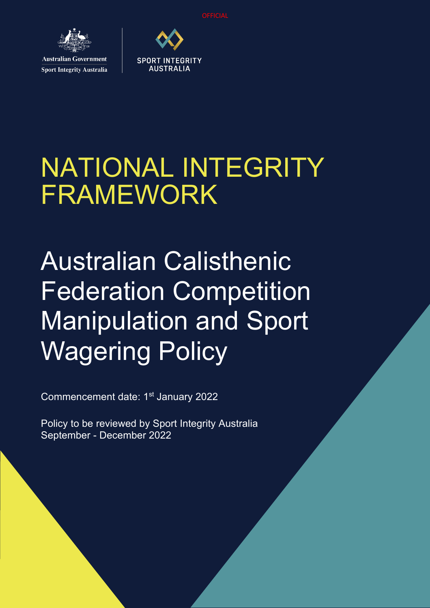

**Australian Government Sport Integrity Australia** 



# NATIONAL INTEGRITY FRAMEWORK

# Australian Calisthenic Federation Competition Manipulation and Sport Wagering Policy

Commencement date: 1<sup>st</sup> January 2022

Policy to be reviewed by Sport Integrity Australia September - December 2022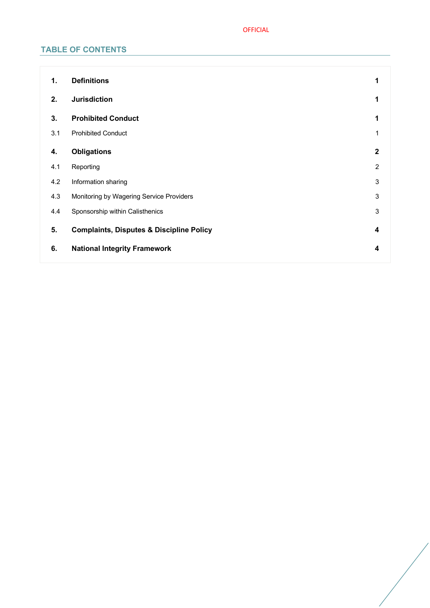## OFFICIAL

# **TABLE OF CONTENTS**

| 1.  | <b>Definitions</b>                                  | 1              |
|-----|-----------------------------------------------------|----------------|
| 2.  | <b>Jurisdiction</b>                                 | 1              |
| 3.  | <b>Prohibited Conduct</b>                           |                |
| 3.1 | <b>Prohibited Conduct</b>                           |                |
| 4.  | <b>Obligations</b>                                  | $\mathbf{2}$   |
| 4.1 | Reporting                                           | $\overline{2}$ |
| 4.2 | Information sharing                                 | 3              |
| 4.3 | Monitoring by Wagering Service Providers            | 3              |
| 4.4 | Sponsorship within Calisthenics                     | 3              |
| 5.  | <b>Complaints, Disputes &amp; Discipline Policy</b> | 4              |
| 6.  | <b>National Integrity Framework</b>                 | 4              |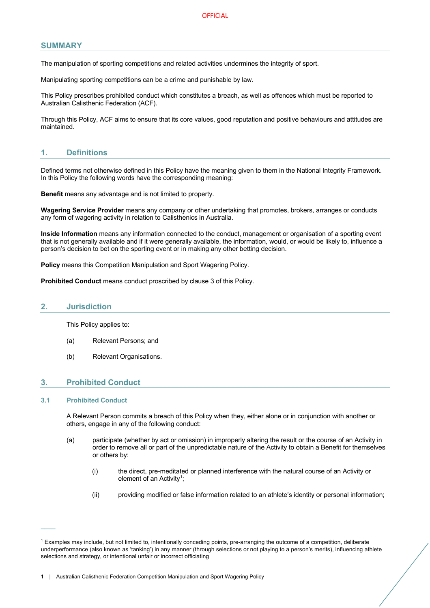## **SUMMARY**

The manipulation of sporting competitions and related activities undermines the integrity of sport.

Manipulating sporting competitions can be a crime and punishable by law.

This Policy prescribes prohibited conduct which constitutes a breach, as well as offences which must be reported to Australian Calisthenic Federation (ACF).

Through this Policy, ACF aims to ensure that its core values, good reputation and positive behaviours and attitudes are maintained.

## **1. Definitions**

Defined terms not otherwise defined in this Policy have the meaning given to them in the National Integrity Framework. In this Policy the following words have the corresponding meaning:

**Benefit** means any advantage and is not limited to property.

**Wagering Service Provider** means any company or other undertaking that promotes, brokers, arranges or conducts any form of wagering activity in relation to Calisthenics in Australia.

**Inside Information** means any information connected to the conduct, management or organisation of a sporting event that is not generally available and if it were generally available, the information, would, or would be likely to, influence a person's decision to bet on the sporting event or in making any other betting decision.

**Policy** means this Competition Manipulation and Sport Wagering Policy.

**Prohibited Conduct** means conduct proscribed by clause 3 of this Policy.

#### **2. Jurisdiction**

This Policy applies to:

- (a) Relevant Persons; and
- (b) Relevant Organisations.

## **3. Prohibited Conduct**

#### **3.1 Prohibited Conduct**

 $\mathcal{L}_{\mathcal{L}}$ 

A Relevant Person commits a breach of this Policy when they, either alone or in conjunction with another or others, engage in any of the following conduct:

- (a) participate (whether by act or omission) in improperly altering the result or the course of an Activity in order to remove all or part of the unpredictable nature of the Activity to obtain a Benefit for themselves or others by:
	- (i) the direct, pre-meditated or planned interference with the natural course of an Activity or element of an Activity<sup>1</sup>:
	- (ii) providing modified or false information related to an athlete's identity or personal information;

<sup>1</sup> Examples may include, but not limited to, intentionally conceding points, pre-arranging the outcome of a competition, deliberate underperformance (also known as 'tanking') in any manner (through selections or not playing to a person's merits), influencing athlete selections and strategy, or intentional unfair or incorrect officiating

**<sup>1</sup>** | Australian Calisthenic Federation Competition Manipulation and Sport Wagering Policy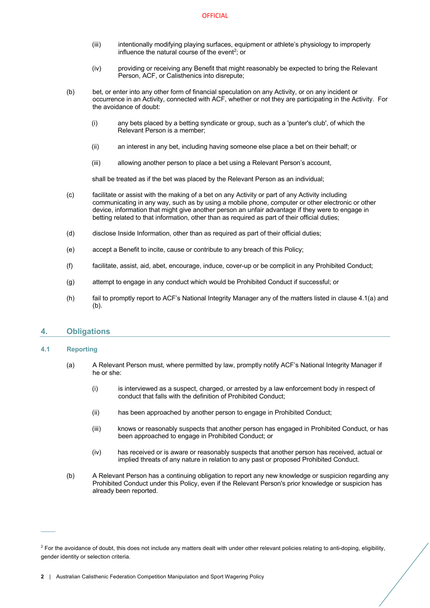- (iii) intentionally modifying playing surfaces, equipment or athlete's physiology to improperly influence the natural course of the event<sup>2</sup>; or
- (iv) providing or receiving any Benefit that might reasonably be expected to bring the Relevant Person, ACF, or Calisthenics into disrepute;
- (b) bet, or enter into any other form of financial speculation on any Activity, or on any incident or occurrence in an Activity, connected with ACF, whether or not they are participating in the Activity. For the avoidance of doubt:
	- (i) any bets placed by a betting syndicate or group, such as a 'punter's club', of which the Relevant Person is a member;
	- (ii) an interest in any bet, including having someone else place a bet on their behalf; or
	- (iii) allowing another person to place a bet using a Relevant Person's account,

shall be treated as if the bet was placed by the Relevant Person as an individual;

- (c) facilitate or assist with the making of a bet on any Activity or part of any Activity including communicating in any way, such as by using a mobile phone, computer or other electronic or other device, information that might give another person an unfair advantage if they were to engage in betting related to that information, other than as required as part of their official duties;
- (d) disclose Inside Information, other than as required as part of their official duties;
- (e) accept a Benefit to incite, cause or contribute to any breach of this Policy;
- (f) facilitate, assist, aid, abet, encourage, induce, cover-up or be complicit in any Prohibited Conduct;
- (g) attempt to engage in any conduct which would be Prohibited Conduct if successful; or
- (h) fail to promptly report to ACF's National Integrity Manager any of the matters listed in clause 4.1(a) and (b).

## **4. Obligations**

#### **4.1 Reporting**

 $\mathcal{L}_{\mathcal{L}}$ 

- (a) A Relevant Person must, where permitted by law, promptly notify ACF's National Integrity Manager if he or she:
	- (i) is interviewed as a suspect, charged, or arrested by a law enforcement body in respect of conduct that falls with the definition of Prohibited Conduct;
	- (ii) has been approached by another person to engage in Prohibited Conduct;
	- (iii) knows or reasonably suspects that another person has engaged in Prohibited Conduct, or has been approached to engage in Prohibited Conduct; or
	- (iv) has received or is aware or reasonably suspects that another person has received, actual or implied threats of any nature in relation to any past or proposed Prohibited Conduct.
- (b) A Relevant Person has a continuing obligation to report any new knowledge or suspicion regarding any Prohibited Conduct under this Policy, even if the Relevant Person's prior knowledge or suspicion has already been reported.

 $2$  For the avoidance of doubt, this does not include any matters dealt with under other relevant policies relating to anti-doping, eligibility, gender identity or selection criteria.

**<sup>2</sup>** | Australian Calisthenic Federation Competition Manipulation and Sport Wagering Policy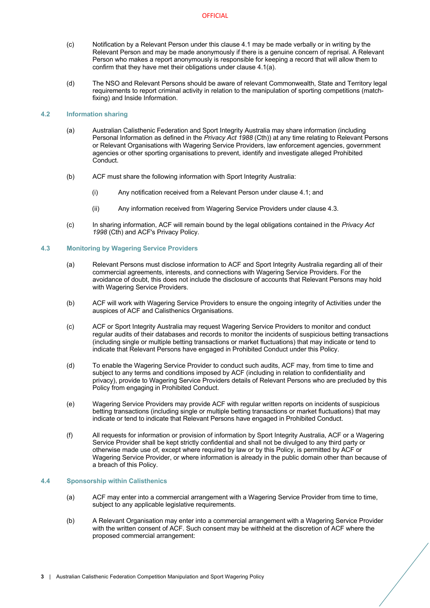- (c) Notification by a Relevant Person under this clause 4.1 may be made verbally or in writing by the Relevant Person and may be made anonymously if there is a genuine concern of reprisal. A Relevant Person who makes a report anonymously is responsible for keeping a record that will allow them to confirm that they have met their obligations under clause 4.1(a).
- (d) The NSO and Relevant Persons should be aware of relevant Commonwealth, State and Territory legal requirements to report criminal activity in relation to the manipulation of sporting competitions (matchfixing) and Inside Information.

## **4.2 Information sharing**

- (a) Australian Calisthenic Federation and Sport Integrity Australia may share information (including Personal Information as defined in the *Privacy Act 1988* (Cth)) at any time relating to Relevant Persons or Relevant Organisations with Wagering Service Providers, law enforcement agencies, government agencies or other sporting organisations to prevent, identify and investigate alleged Prohibited Conduct.
- (b) ACF must share the following information with Sport Integrity Australia:
	- (i) Any notification received from a Relevant Person under clause 4.1; and
	- (ii) Any information received from Wagering Service Providers under clause 4.3.
- (c) In sharing information, ACF will remain bound by the legal obligations contained in the *Privacy Act 1998* (Cth) and ACF's Privacy Policy.

#### **4.3 Monitoring by Wagering Service Providers**

- (a) Relevant Persons must disclose information to ACF and Sport Integrity Australia regarding all of their commercial agreements, interests, and connections with Wagering Service Providers. For the avoidance of doubt, this does not include the disclosure of accounts that Relevant Persons may hold with Wagering Service Providers.
- (b) ACF will work with Wagering Service Providers to ensure the ongoing integrity of Activities under the auspices of ACF and Calisthenics Organisations.
- (c) ACF or Sport Integrity Australia may request Wagering Service Providers to monitor and conduct regular audits of their databases and records to monitor the incidents of suspicious betting transactions (including single or multiple betting transactions or market fluctuations) that may indicate or tend to indicate that Relevant Persons have engaged in Prohibited Conduct under this Policy.
- (d) To enable the Wagering Service Provider to conduct such audits, ACF may, from time to time and subject to any terms and conditions imposed by ACF (including in relation to confidentiality and privacy), provide to Wagering Service Providers details of Relevant Persons who are precluded by this Policy from engaging in Prohibited Conduct.
- (e) Wagering Service Providers may provide ACF with regular written reports on incidents of suspicious betting transactions (including single or multiple betting transactions or market fluctuations) that may indicate or tend to indicate that Relevant Persons have engaged in Prohibited Conduct.
- (f) All requests for information or provision of information by Sport Integrity Australia, ACF or a Wagering Service Provider shall be kept strictly confidential and shall not be divulged to any third party or otherwise made use of, except where required by law or by this Policy, is permitted by ACF or Wagering Service Provider, or where information is already in the public domain other than because of a breach of this Policy.

#### **4.4 Sponsorship within Calisthenics**

- (a) ACF may enter into a commercial arrangement with a Wagering Service Provider from time to time, subject to any applicable legislative requirements.
- (b) A Relevant Organisation may enter into a commercial arrangement with a Wagering Service Provider with the written consent of ACF. Such consent may be withheld at the discretion of ACF where the proposed commercial arrangement: